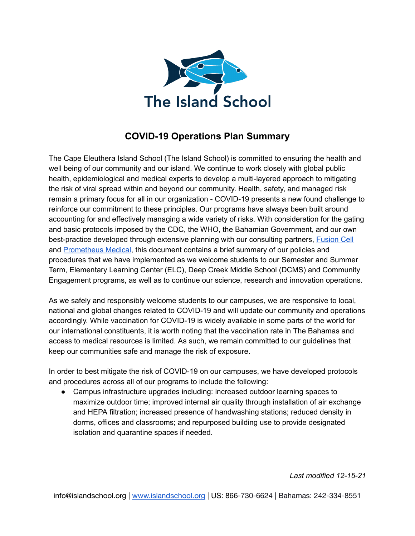

# **COVID-19 Operations Plan Summary**

The Cape Eleuthera Island School (The Island School) is committed to ensuring the health and well being of our community and our island. We continue to work closely with global public health, epidemiological and medical experts to develop a multi-layered approach to mitigating the risk of viral spread within and beyond our community. Health, safety, and managed risk remain a primary focus for all in our organization - COVID-19 presents a new found challenge to reinforce our commitment to these principles. Our programs have always been built around accounting for and effectively managing a wide variety of risks. With consideration for the gating and basic protocols imposed by the CDC, the WHO, the Bahamian Government, and our own best-practice developed through extensive planning with our consulting partners, [Fusion](https://fusioncell.com/) Cell and [Prometheus](https://www.prometheusmedical.co.uk/) Medical, this document contains a brief summary of our policies and procedures that we have implemented as we welcome students to our Semester and Summer Term, Elementary Learning Center (ELC), Deep Creek Middle School (DCMS) and Community Engagement programs, as well as to continue our science, research and innovation operations.

As we safely and responsibly welcome students to our campuses, we are responsive to local, national and global changes related to COVID-19 and will update our community and operations accordingly. While vaccination for COVID-19 is widely available in some parts of the world for our international constituents, it is worth noting that the vaccination rate in The Bahamas and access to medical resources is limited. As such, we remain committed to our guidelines that keep our communities safe and manage the risk of exposure.

In order to best mitigate the risk of COVID-19 on our campuses, we have developed protocols and procedures across all of our programs to include the following:

● Campus infrastructure upgrades including: increased outdoor learning spaces to maximize outdoor time; improved internal air quality through installation of air exchange and HEPA filtration; increased presence of handwashing stations; reduced density in dorms, offices and classrooms; and repurposed building use to provide designated isolation and quarantine spaces if needed.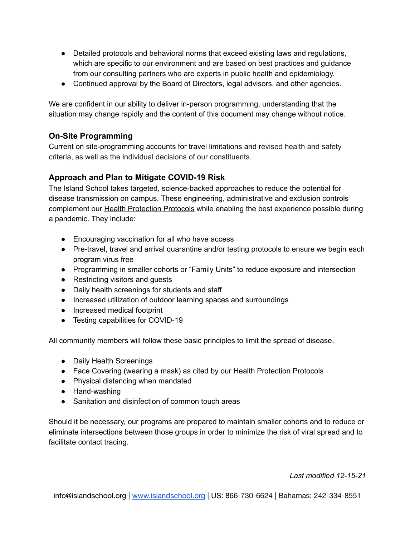- Detailed protocols and behavioral norms that exceed existing laws and regulations, which are specific to our environment and are based on best practices and guidance from our consulting partners who are experts in public health and epidemiology.
- Continued approval by the Board of Directors, legal advisors, and other agencies.

We are confident in our ability to deliver in-person programming, understanding that the situation may change rapidly and the content of this document may change without notice.

# **On-Site Programming**

Current on site-programming accounts for travel limitations and revised health and safety criteria, as well as the individual decisions of our constituents.

# **Approach and Plan to Mitigate COVID-19 Risk**

The Island School takes targeted, science-backed approaches to reduce the potential for disease transmission on campus. These engineering, administrative and exclusion controls complement our Health Protection Protocols while enabling the best experience possible during a pandemic. They include:

- Encouraging vaccination for all who have access
- Pre-travel, travel and arrival quarantine and/or testing protocols to ensure we begin each program virus free
- Programming in smaller cohorts or "Family Units" to reduce exposure and intersection
- Restricting visitors and guests
- Daily health screenings for students and staff
- Increased utilization of outdoor learning spaces and surroundings
- Increased medical footprint
- Testing capabilities for COVID-19

All community members will follow these basic principles to limit the spread of disease.

- Daily Health Screenings
- Face Covering (wearing a mask) as cited by our Health Protection Protocols
- Physical distancing when mandated
- Hand-washing
- Sanitation and disinfection of common touch areas

Should it be necessary, our programs are prepared to maintain smaller cohorts and to reduce or eliminate intersections between those groups in order to minimize the risk of viral spread and to facilitate contact tracing.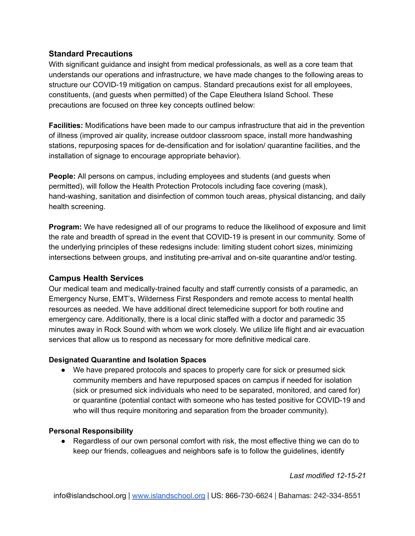# **Standard Precautions**

With significant guidance and insight from medical professionals, as well as a core team that understands our operations and infrastructure, we have made changes to the following areas to structure our COVID-19 mitigation on campus. Standard precautions exist for all employees, constituents, (and guests when permitted) of the Cape Eleuthera Island School. These precautions are focused on three key concepts outlined below:

**Facilities:** Modifications have been made to our campus infrastructure that aid in the prevention of illness (improved air quality, increase outdoor classroom space, install more handwashing stations, repurposing spaces for de-densification and for isolation/ quarantine facilities, and the installation of signage to encourage appropriate behavior).

**People:** All persons on campus, including employees and students (and guests when permitted), will follow the Health Protection Protocols including face covering (mask), hand-washing, sanitation and disinfection of common touch areas, physical distancing, and daily health screening.

**Program:** We have redesigned all of our programs to reduce the likelihood of exposure and limit the rate and breadth of spread in the event that COVID-19 is present in our community. Some of the underlying principles of these redesigns include: limiting student cohort sizes, minimizing intersections between groups, and instituting pre-arrival and on-site quarantine and/or testing.

# **Campus Health Services**

Our medical team and medically-trained faculty and staff currently consists of a paramedic, an Emergency Nurse, EMT's, Wilderness First Responders and remote access to mental health resources as needed. We have additional direct telemedicine support for both routine and emergency care. Additionally, there is a local clinic staffed with a doctor and paramedic 35 minutes away in Rock Sound with whom we work closely. We utilize life flight and air evacuation services that allow us to respond as necessary for more definitive medical care.

# **Designated Quarantine and Isolation Spaces**

● We have prepared protocols and spaces to properly care for sick or presumed sick community members and have repurposed spaces on campus if needed for isolation (sick or presumed sick individuals who need to be separated, monitored, and cared for) or quarantine (potential contact with someone who has tested positive for COVID-19 and who will thus require monitoring and separation from the broader community).

# **Personal Responsibility**

● Regardless of our own personal comfort with risk, the most effective thing we can do to keep our friends, colleagues and neighbors safe is to follow the guidelines, identify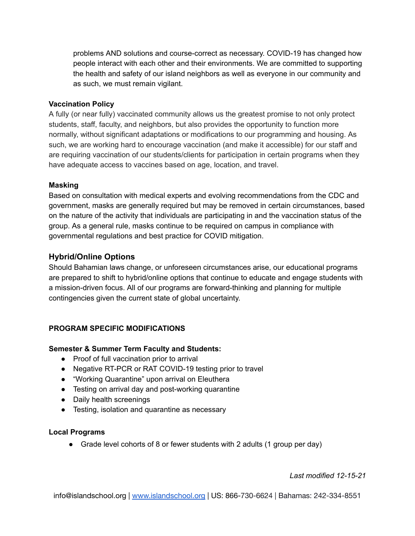problems AND solutions and course-correct as necessary. COVID-19 has changed how people interact with each other and their environments. We are committed to supporting the health and safety of our island neighbors as well as everyone in our community and as such, we must remain vigilant.

#### **Vaccination Policy**

A fully (or near fully) vaccinated community allows us the greatest promise to not only protect students, staff, faculty, and neighbors, but also provides the opportunity to function more normally, without significant adaptations or modifications to our programming and housing. As such, we are working hard to encourage vaccination (and make it accessible) for our staff and are requiring vaccination of our students/clients for participation in certain programs when they have adequate access to vaccines based on age, location, and travel.

#### **Masking**

Based on consultation with medical experts and evolving recommendations from the CDC and government, masks are generally required but may be removed in certain circumstances, based on the nature of the activity that individuals are participating in and the vaccination status of the group. As a general rule, masks continue to be required on campus in compliance with governmental regulations and best practice for COVID mitigation.

# **Hybrid/Online Options**

Should Bahamian laws change, or unforeseen circumstances arise, our educational programs are prepared to shift to hybrid/online options that continue to educate and engage students with a mission-driven focus. All of our programs are forward-thinking and planning for multiple contingencies given the current state of global uncertainty.

# **PROGRAM SPECIFIC MODIFICATIONS**

#### **Semester & Summer Term Faculty and Students:**

- Proof of full vaccination prior to arrival
- Negative RT-PCR or RAT COVID-19 testing prior to travel
- "Working Quarantine" upon arrival on Eleuthera
- Testing on arrival day and post-working quarantine
- Daily health screenings
- Testing, isolation and quarantine as necessary

#### **Local Programs**

• Grade level cohorts of 8 or fewer students with 2 adults (1 group per day)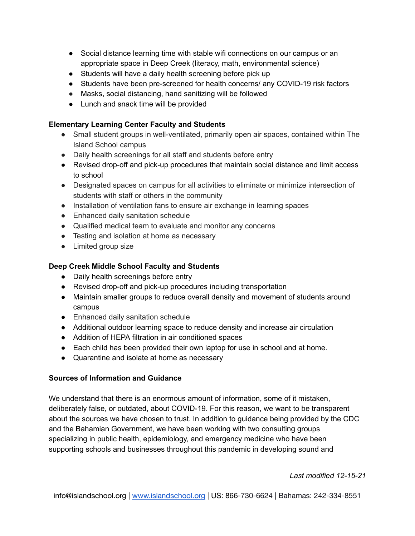- Social distance learning time with stable wifi connections on our campus or an appropriate space in Deep Creek (literacy, math, environmental science)
- Students will have a daily health screening before pick up
- Students have been pre-screened for health concerns/ any COVID-19 risk factors
- Masks, social distancing, hand sanitizing will be followed
- Lunch and snack time will be provided

#### **Elementary Learning Center Faculty and Students**

- Small student groups in well-ventilated, primarily open air spaces, contained within The Island School campus
- Daily health screenings for all staff and students before entry
- Revised drop-off and pick-up procedures that maintain social distance and limit access to school
- Designated spaces on campus for all activities to eliminate or minimize intersection of students with staff or others in the community
- Installation of ventilation fans to ensure air exchange in learning spaces
- Enhanced daily sanitation schedule
- Qualified medical team to evaluate and monitor any concerns
- Testing and isolation at home as necessary
- Limited group size

# **Deep Creek Middle School Faculty and Students**

- Daily health screenings before entry
- Revised drop-off and pick-up procedures including transportation
- Maintain smaller groups to reduce overall density and movement of students around campus
- Enhanced daily sanitation schedule
- Additional outdoor learning space to reduce density and increase air circulation
- Addition of HEPA filtration in air conditioned spaces
- Each child has been provided their own laptop for use in school and at home.
- Quarantine and isolate at home as necessary

# **Sources of Information and Guidance**

We understand that there is an enormous amount of information, some of it mistaken, deliberately false, or outdated, about COVID-19. For this reason, we want to be transparent about the sources we have chosen to trust. In addition to guidance being provided by the CDC and the Bahamian Government, we have been working with two consulting groups specializing in public health, epidemiology, and emergency medicine who have been supporting schools and businesses throughout this pandemic in developing sound and